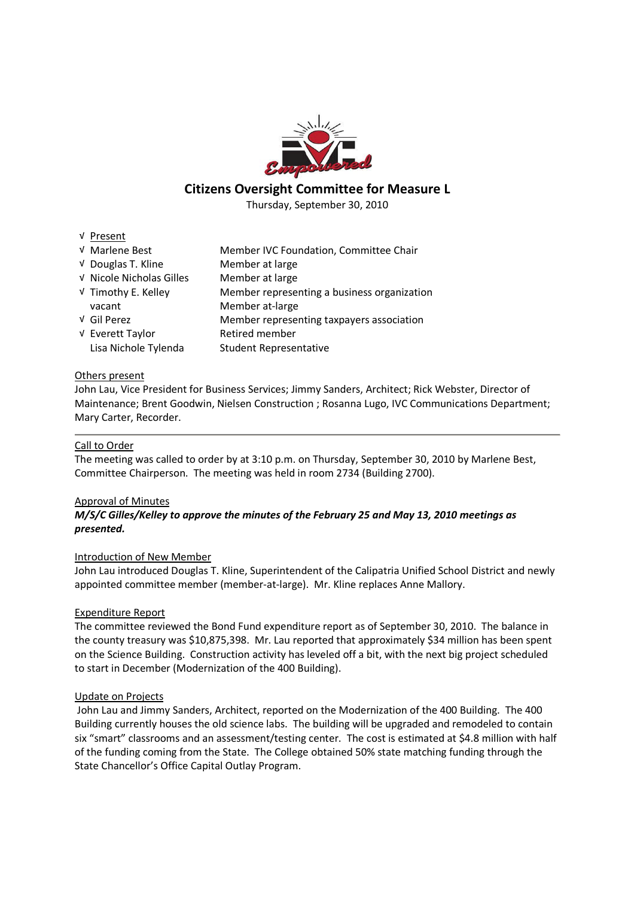

# **Citizens Oversight Committee for Measure L**

Thursday, September 30, 2010

√ Present

| √ Marlene Best           | Member IVC Foundation, Committee Chair      |
|--------------------------|---------------------------------------------|
| V Douglas T. Kline       | Member at large                             |
| V Nicole Nicholas Gilles | Member at large                             |
| √ Timothy E. Kelley      | Member representing a business organization |
| vacant                   | Member at-large                             |
| √ Gil Perez              | Member representing taxpayers association   |
| √ Everett Taylor         | Retired member                              |
| Lisa Nichole Tylenda     | <b>Student Representative</b>               |

# Others present

John Lau, Vice President for Business Services; Jimmy Sanders, Architect; Rick Webster, Director of Maintenance; Brent Goodwin, Nielsen Construction ; Rosanna Lugo, IVC Communications Department; Mary Carter, Recorder.

# Call to Order

The meeting was called to order by at 3:10 p.m. on Thursday, September 30, 2010 by Marlene Best, Committee Chairperson. The meeting was held in room 2734 (Building 2700).

## Approval of Minutes

# *M/S/C Gilles/Kelley to approve the minutes of the February 25 and May 13, 2010 meetings as presented.*

## Introduction of New Member

John Lau introduced Douglas T. Kline, Superintendent of the Calipatria Unified School District and newly appointed committee member (member-at-large). Mr. Kline replaces Anne Mallory.

## Expenditure Report

The committee reviewed the Bond Fund expenditure report as of September 30, 2010. The balance in the county treasury was \$10,875,398. Mr. Lau reported that approximately \$34 million has been spent on the Science Building. Construction activity has leveled off a bit, with the next big project scheduled to start in December (Modernization of the 400 Building).

## Update on Projects

John Lau and Jimmy Sanders, Architect, reported on the Modernization of the 400 Building. The 400 Building currently houses the old science labs. The building will be upgraded and remodeled to contain six "smart" classrooms and an assessment/testing center. The cost is estimated at \$4.8 million with half of the funding coming from the State. The College obtained 50% state matching funding through the State Chancellor's Office Capital Outlay Program.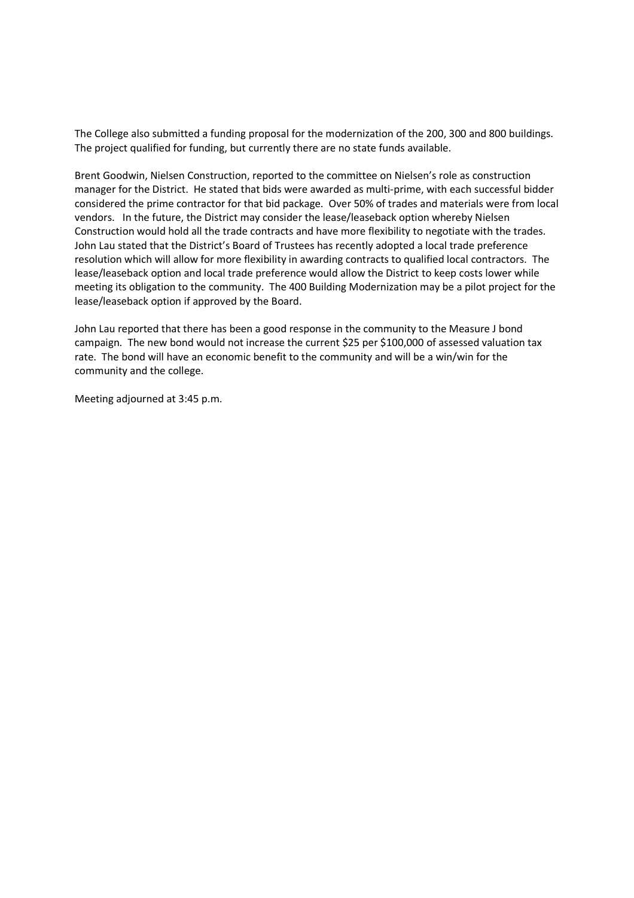The College also submitted a funding proposal for the modernization of the 200, 300 and 800 buildings. The project qualified for funding, but currently there are no state funds available.

Brent Goodwin, Nielsen Construction, reported to the committee on Nielsen's role as construction manager for the District. He stated that bids were awarded as multi-prime, with each successful bidder considered the prime contractor for that bid package. Over 50% of trades and materials were from local vendors. In the future, the District may consider the lease/leaseback option whereby Nielsen Construction would hold all the trade contracts and have more flexibility to negotiate with the trades. John Lau stated that the District's Board of Trustees has recently adopted a local trade preference resolution which will allow for more flexibility in awarding contracts to qualified local contractors. The lease/leaseback option and local trade preference would allow the District to keep costs lower while meeting its obligation to the community. The 400 Building Modernization may be a pilot project for the lease/leaseback option if approved by the Board.

John Lau reported that there has been a good response in the community to the Measure J bond campaign. The new bond would not increase the current \$25 per \$100,000 of assessed valuation tax rate. The bond will have an economic benefit to the community and will be a win/win for the community and the college.

Meeting adjourned at 3:45 p.m.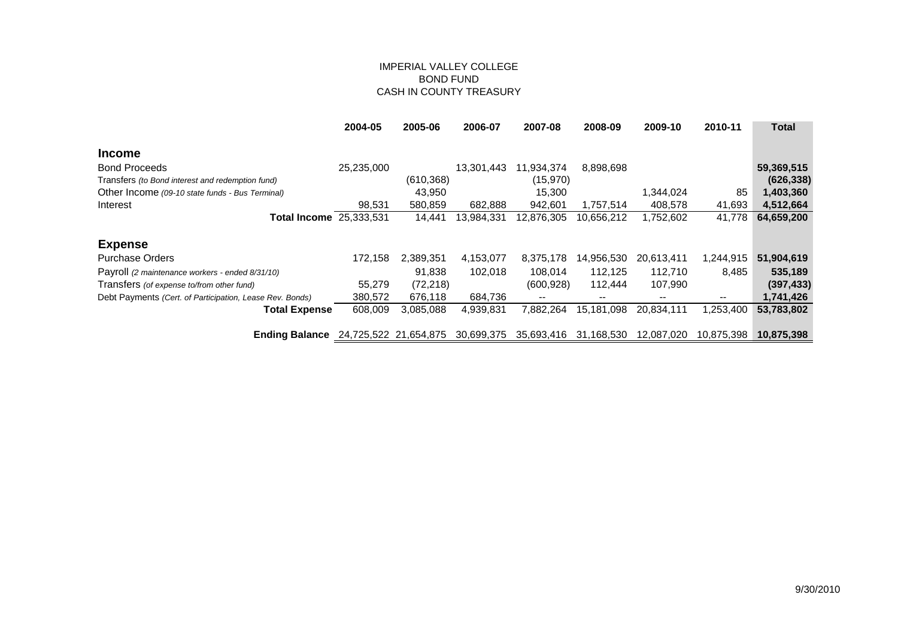## IMPERIAL VALLEY COLLEGE BOND FUND CASH IN COUNTY TREASURY

|                                                          | 2004-05               | 2005-06    | 2006-07    | 2007-08                  | 2008-09                  | 2009-10                  | 2010-11                  | Total      |
|----------------------------------------------------------|-----------------------|------------|------------|--------------------------|--------------------------|--------------------------|--------------------------|------------|
| <b>Income</b>                                            |                       |            |            |                          |                          |                          |                          |            |
| <b>Bond Proceeds</b>                                     | 25,235,000            |            | 13,301,443 | 11,934,374               | 8,898,698                |                          |                          | 59,369,515 |
| Transfers (to Bond interest and redemption fund)         |                       | (610, 368) |            | (15, 970)                |                          |                          |                          | (626, 338) |
| Other Income (09-10 state funds - Bus Terminal)          |                       | 43,950     |            | 15,300                   |                          | 1,344,024                | 85                       | 1,403,360  |
| Interest                                                 | 98,531                | 580,859    | 682,888    | 942,601                  | 1,757,514                | 408,578                  | 41,693                   | 4,512,664  |
| <b>Total Income</b> 25,333,531                           |                       | 14,441     | 13,984,331 | 12,876,305               | 10,656,212               | 1,752,602                | 41,778                   | 64,659,200 |
| <b>Expense</b>                                           |                       |            |            |                          |                          |                          |                          |            |
| <b>Purchase Orders</b>                                   | 172,158               | 2,389,351  | 4,153,077  | 8,375,178                | 14,956,530               | 20,613,411               | 1,244,915                | 51,904,619 |
| Payroll (2 maintenance workers - ended 8/31/10)          |                       | 91.838     | 102,018    | 108.014                  | 112.125                  | 112,710                  | 8,485                    | 535,189    |
| Transfers (of expense to/from other fund)                | 55.279                | (72, 218)  |            | (600, 928)               | 112.444                  | 107,990                  |                          | (397, 433) |
| Debt Payments (Cert. of Participation, Lease Rev. Bonds) | 380,572               | 676,118    | 684,736    | $\overline{\phantom{a}}$ | $\overline{\phantom{a}}$ | $\overline{\phantom{m}}$ | $\overline{\phantom{m}}$ | 1,741,426  |
| <b>Total Expense</b>                                     | 608,009               | 3,085,088  | 4,939,831  | 7,882,264                | 15,181,098               | 20,834,111               | ,253,400                 | 53,783,802 |
| <b>Ending Balance</b>                                    | 24,725,522 21,654,875 |            | 30,699,375 | 35,693,416               | 31,168,530               | 12,087,020               | 10,875,398               | 10,875,398 |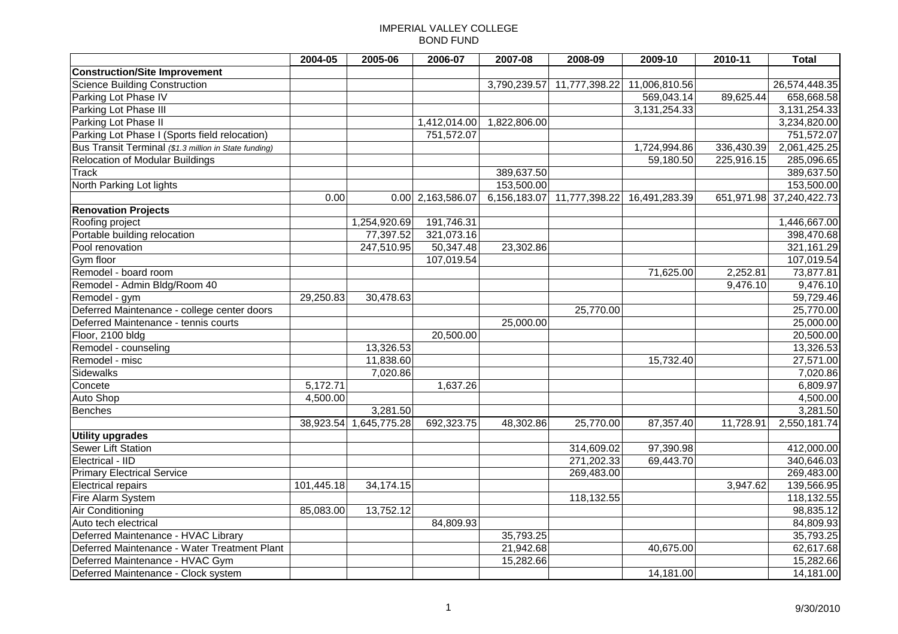# IMPERIAL VALLEY COLLEGE BOND FUND

|                                                       | 2004-05    | 2005-06      | 2006-07             | 2007-08      | 2008-09                                  | 2009-10       | 2010-11    | Total                    |
|-------------------------------------------------------|------------|--------------|---------------------|--------------|------------------------------------------|---------------|------------|--------------------------|
| <b>Construction/Site Improvement</b>                  |            |              |                     |              |                                          |               |            |                          |
| Science Building Construction                         |            |              |                     | 3,790,239.57 | 11,777,398.22                            | 11,006,810.56 |            | 26,574,448.35            |
| Parking Lot Phase IV                                  |            |              |                     |              |                                          | 569,043.14    | 89,625.44  | 658,668.58               |
| Parking Lot Phase III                                 |            |              |                     |              |                                          | 3,131,254.33  |            | 3,131,254.33             |
| Parking Lot Phase II                                  |            |              | 1,412,014.00        | 1,822,806.00 |                                          |               |            | 3,234,820.00             |
| Parking Lot Phase I (Sports field relocation)         |            |              | 751,572.07          |              |                                          |               |            | 751,572.07               |
| Bus Transit Terminal (\$1.3 million in State funding) |            |              |                     |              |                                          | 1,724,994.86  | 336,430.39 | 2,061,425.25             |
| <b>Relocation of Modular Buildings</b>                |            |              |                     |              |                                          | 59,180.50     | 225,916.15 | 285,096.65               |
| <b>Track</b>                                          |            |              |                     | 389,637.50   |                                          |               |            | 389,637.50               |
| North Parking Lot lights                              |            |              |                     | 153,500.00   |                                          |               |            | 153,500.00               |
|                                                       | 0.00       |              | $0.00$ 2,163,586.07 |              | 6,156,183.07 11,777,398.22 16,491,283.39 |               |            | 651,971.98 37,240,422.73 |
| <b>Renovation Projects</b>                            |            |              |                     |              |                                          |               |            |                          |
| Roofing project                                       |            | 1,254,920.69 | 191,746.31          |              |                                          |               |            | 1,446,667.00             |
| Portable building relocation                          |            | 77,397.52    | 321,073.16          |              |                                          |               |            | 398,470.68               |
| Pool renovation                                       |            | 247,510.95   | 50,347.48           | 23,302.86    |                                          |               |            | 321,161.29               |
| Gym floor                                             |            |              | 107,019.54          |              |                                          |               |            | 107,019.54               |
| Remodel - board room                                  |            |              |                     |              |                                          | 71,625.00     | 2,252.81   | 73,877.81                |
| Remodel - Admin Bldg/Room 40                          |            |              |                     |              |                                          |               | 9,476.10   | 9,476.10                 |
| Remodel - gym                                         | 29,250.83  | 30,478.63    |                     |              |                                          |               |            | 59,729.46                |
| Deferred Maintenance - college center doors           |            |              |                     |              | 25,770.00                                |               |            | 25,770.00                |
| Deferred Maintenance - tennis courts                  |            |              |                     | 25,000.00    |                                          |               |            | 25,000.00                |
| Floor, 2100 bldg                                      |            |              | 20,500.00           |              |                                          |               |            | 20,500.00                |
| Remodel - counseling                                  |            | 13,326.53    |                     |              |                                          |               |            | 13,326.53                |
| Remodel - misc                                        |            | 11,838.60    |                     |              |                                          | 15,732.40     |            | 27,571.00                |
| <b>Sidewalks</b>                                      |            | 7,020.86     |                     |              |                                          |               |            | 7,020.86                 |
| Concete                                               | 5,172.71   |              | 1,637.26            |              |                                          |               |            | 6,809.97                 |
| <b>Auto Shop</b>                                      | 4,500.00   |              |                     |              |                                          |               |            | 4,500.00                 |
| <b>Benches</b>                                        |            | 3,281.50     |                     |              |                                          |               |            | 3,281.50                 |
|                                                       | 38,923.54  | 1,645,775.28 | 692,323.75          | 48,302.86    | 25,770.00                                | 87,357.40     | 11,728.91  | 2,550,181.74             |
| <b>Utility upgrades</b>                               |            |              |                     |              |                                          |               |            |                          |
| Sewer Lift Station                                    |            |              |                     |              | 314,609.02                               | 97,390.98     |            | 412,000.00               |
| Electrical - IID                                      |            |              |                     |              | 271,202.33                               | 69,443.70     |            | 340,646.03               |
| <b>Primary Electrical Service</b>                     |            |              |                     |              | 269,483.00                               |               |            | 269,483.00               |
| <b>Electrical repairs</b>                             | 101,445.18 | 34,174.15    |                     |              |                                          |               | 3,947.62   | 139,566.95               |
| Fire Alarm System                                     |            |              |                     |              | 118,132.55                               |               |            | 118,132.55               |
| Air Conditioning                                      | 85,083.00  | 13,752.12    |                     |              |                                          |               |            | 98,835.12                |
| Auto tech electrical                                  |            |              | 84,809.93           |              |                                          |               |            | 84,809.93                |
| Deferred Maintenance - HVAC Library                   |            |              |                     | 35,793.25    |                                          |               |            | 35,793.25                |
| Deferred Maintenance - Water Treatment Plant          |            |              |                     | 21,942.68    |                                          | 40,675.00     |            | 62,617.68                |
| Deferred Maintenance - HVAC Gym                       |            |              |                     | 15,282.66    |                                          |               |            | 15,282.66                |
| Deferred Maintenance - Clock system                   |            |              |                     |              |                                          | 14,181.00     |            | 14,181.00                |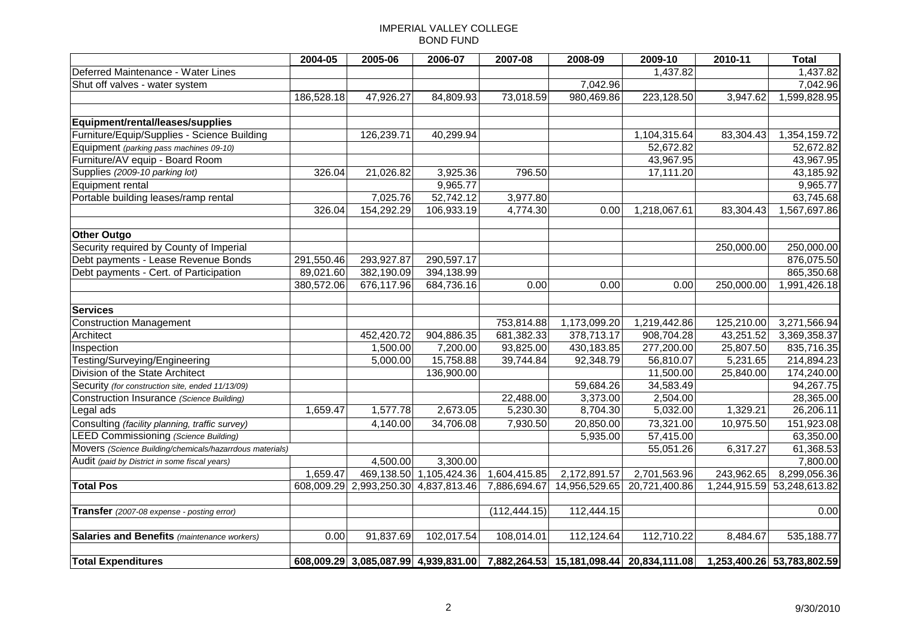# IMPERIAL VALLEY COLLEGE BOND FUND

|                                                          | 2004-05    | 2005-06                              | 2006-07                 | 2007-08       | 2008-09       | 2009-10                                                                       | 2010-11      | <b>Total</b>               |
|----------------------------------------------------------|------------|--------------------------------------|-------------------------|---------------|---------------|-------------------------------------------------------------------------------|--------------|----------------------------|
| Deferred Maintenance - Water Lines                       |            |                                      |                         |               |               | 1,437.82                                                                      |              | 1,437.82                   |
| Shut off valves - water system                           |            |                                      |                         |               | 7,042.96      |                                                                               |              | 7,042.96                   |
|                                                          | 186,528.18 | 47,926.27                            | 84,809.93               | 73,018.59     | 980,469.86    | 223,128.50                                                                    | 3,947.62     | 1,599,828.95               |
|                                                          |            |                                      |                         |               |               |                                                                               |              |                            |
| Equipment/rental/leases/supplies                         |            |                                      |                         |               |               |                                                                               |              |                            |
| Furniture/Equip/Supplies - Science Building              |            | 126,239.71                           | 40,299.94               |               |               | 1,104,315.64                                                                  | 83,304.43    | 1,354,159.72               |
| Equipment (parking pass machines 09-10)                  |            |                                      |                         |               |               | 52,672.82                                                                     |              | 52,672.82                  |
| Furniture/AV equip - Board Room                          |            |                                      |                         |               |               | 43,967.95                                                                     |              | 43,967.95                  |
| Supplies (2009-10 parking lot)                           | 326.04     | 21,026.82                            | 3,925.36                | 796.50        |               | 17,111.20                                                                     |              | 43,185.92                  |
| Equipment rental                                         |            |                                      | 9,965.77                |               |               |                                                                               |              | 9,965.77                   |
| Portable building leases/ramp rental                     |            | 7,025.76                             | 52,742.12               | 3,977.80      |               |                                                                               |              | 63,745.68                  |
|                                                          | 326.04     | 154,292.29                           | 106,933.19              | 4,774.30      | 0.00          | 1,218,067.61                                                                  | 83,304.43    | 1,567,697.86               |
|                                                          |            |                                      |                         |               |               |                                                                               |              |                            |
| <b>Other Outgo</b>                                       |            |                                      |                         |               |               |                                                                               |              |                            |
| Security required by County of Imperial                  |            |                                      |                         |               |               |                                                                               | 250,000.00   | 250,000.00                 |
| Debt payments - Lease Revenue Bonds                      | 291,550.46 | 293,927.87                           | 290,597.17              |               |               |                                                                               |              | 876,075.50                 |
| Debt payments - Cert. of Participation                   | 89,021.60  | 382,190.09                           | 394,138.99              |               |               |                                                                               |              | 865,350.68                 |
|                                                          | 380,572.06 | 676,117.96                           | 684,736.16              | 0.00          | 0.00          | 0.00                                                                          | 250,000.00   | 1,991,426.18               |
| <b>Services</b>                                          |            |                                      |                         |               |               |                                                                               |              |                            |
| <b>Construction Management</b>                           |            |                                      |                         | 753,814.88    | 1,173,099.20  | 1,219,442.86                                                                  | 125,210.00   | 3,271,566.94               |
| Architect                                                |            | 452,420.72                           | 904,886.35              | 681,382.33    | 378,713.17    | 908,704.28                                                                    | 43,251.52    | 3,369,358.37               |
| Inspection                                               |            | 1,500.00                             | 7,200.00                | 93,825.00     | 430,183.85    | 277,200.00                                                                    | 25,807.50    | 835,716.35                 |
| Testing/Surveying/Engineering                            |            | 5,000.00                             | 15,758.88               | 39,744.84     | 92,348.79     | 56,810.07                                                                     | 5,231.65     | 214,894.23                 |
| Division of the State Architect                          |            |                                      | 136,900.00              |               |               | 11,500.00                                                                     | 25,840.00    | 174,240.00                 |
| Security (for construction site, ended 11/13/09)         |            |                                      |                         |               | 59,684.26     | 34,583.49                                                                     |              | 94,267.75                  |
|                                                          |            |                                      |                         | 22,488.00     | 3,373.00      | 2,504.00                                                                      |              | 28,365.00                  |
| Construction Insurance (Science Building)                | 1,659.47   | 1,577.78                             | 2,673.05                | 5,230.30      | 8,704.30      | 5,032.00                                                                      | 1,329.21     | 26,206.11                  |
| Legal ads                                                |            |                                      |                         |               |               |                                                                               |              |                            |
| Consulting (facility planning, traffic survey)           |            | 4,140.00                             | 34,706.08               | 7,930.50      | 20,850.00     | 73,321.00                                                                     | 10,975.50    | 151,923.08                 |
| <b>LEED Commissioning (Science Building)</b>             |            |                                      |                         |               | 5,935.00      | 57,415.00                                                                     |              | 63,350.00                  |
| Movers (Science Building/chemicals/hazarrdous materials) |            |                                      |                         |               |               | 55,051.26                                                                     | 6,317.27     | 61,368.53                  |
| Audit (paid by District in some fiscal years)            |            | 4,500.00                             | 3,300.00                |               |               |                                                                               |              | 7,800.00                   |
|                                                          | 1,659.47   |                                      | 469,138.50 1,105,424.36 | 1,604,415.85  | 2,172,891.57  | 2,701,563.96                                                                  | 243,962.65   | 8,299,056.36               |
| <b>Total Pos</b>                                         |            | 608,009.29 2,993,250.30 4,837,813.46 |                         | 7,886,694.67  | 14,956,529.65 | 20,721,400.86                                                                 | 1,244,915.59 | 53,248,613.82              |
| Transfer (2007-08 expense - posting error)               |            |                                      |                         | (112, 444.15) | 112,444.15    |                                                                               |              | 0.00                       |
|                                                          |            |                                      |                         |               |               |                                                                               |              |                            |
| Salaries and Benefits (maintenance workers)              | 0.00       | 91,837.69                            | 102,017.54              | 108,014.01    | 112,124.64    | 112,710.22                                                                    | 8,484.67     | 535,188.77                 |
|                                                          |            |                                      |                         |               |               |                                                                               |              |                            |
| <b>Total Expenditures</b>                                |            |                                      |                         |               |               | 608,009.29 3,085,087.99 4,939,831.00 7,882,264.53 15,181,098.44 20,834,111.08 |              | 1,253,400.26 53,783,802.59 |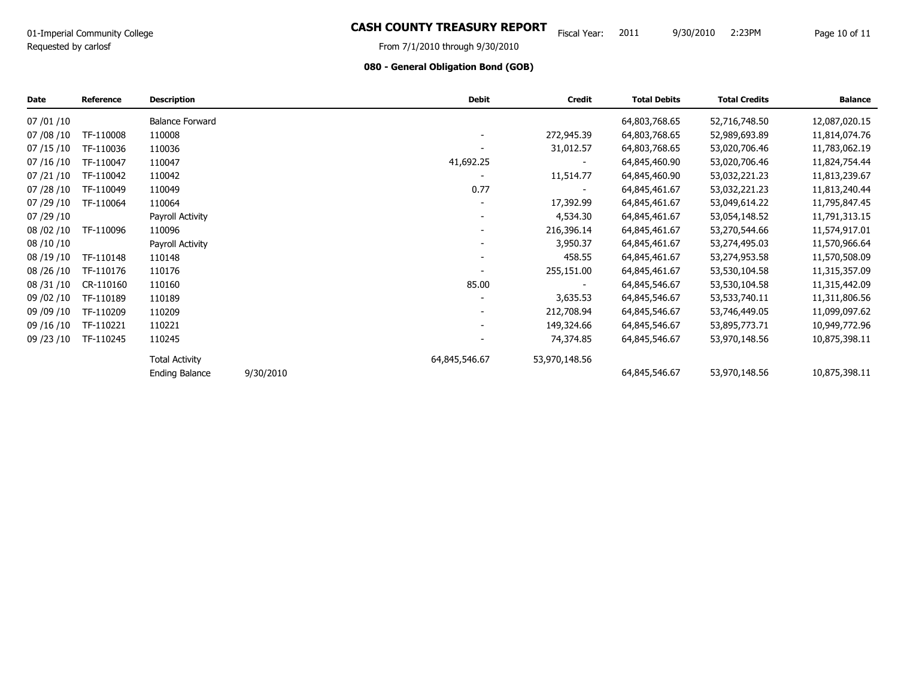# O1-Imperial Community College **Same Struth Struth Collection CASH COUNTY TREASURY REPORT** Fiscal Year: 2011 9/30/2010 2:23PM Page 10 of 11

9/30/2010 2:23PM

# **080 - General Obligation Bond (GOB)**

| Date         | <b>Reference</b> | <b>Description</b>     |           | <b>Debit</b>             | <b>Credit</b> | <b>Total Debits</b> | <b>Total Credits</b> | <b>Balance</b> |
|--------------|------------------|------------------------|-----------|--------------------------|---------------|---------------------|----------------------|----------------|
| 07 / 01 / 10 |                  | <b>Balance Forward</b> |           |                          |               | 64,803,768.65       | 52,716,748.50        | 12,087,020.15  |
| 07/08/10     | TF-110008        | 110008                 |           |                          | 272,945.39    | 64,803,768.65       | 52,989,693.89        | 11,814,074.76  |
| 07/15/10     | TF-110036        | 110036                 |           |                          | 31,012.57     | 64,803,768.65       | 53,020,706.46        | 11,783,062.19  |
| 07/16/10     | TF-110047        | 110047                 |           | 41,692.25                |               | 64,845,460.90       | 53,020,706.46        | 11,824,754.44  |
| 07/21/10     | TF-110042        | 110042                 |           |                          | 11,514.77     | 64,845,460.90       | 53,032,221.23        | 11,813,239.67  |
| 07 / 28 / 10 | TF-110049        | 110049                 |           | 0.77                     |               | 64,845,461.67       | 53,032,221.23        | 11,813,240.44  |
| 07/29/10     | TF-110064        | 110064                 |           |                          | 17,392.99     | 64,845,461.67       | 53,049,614.22        | 11,795,847.45  |
| 07/29/10     |                  | Payroll Activity       |           |                          | 4,534.30      | 64,845,461.67       | 53,054,148.52        | 11,791,313.15  |
| 08 / 02 / 10 | TF-110096        | 110096                 |           |                          | 216,396.14    | 64,845,461.67       | 53,270,544.66        | 11,574,917.01  |
| 08 / 10 / 10 |                  | Payroll Activity       |           |                          | 3,950.37      | 64,845,461.67       | 53,274,495.03        | 11,570,966.64  |
| 08 / 19 / 10 | TF-110148        | 110148                 |           | $\overline{\phantom{0}}$ | 458.55        | 64,845,461.67       | 53,274,953.58        | 11,570,508.09  |
| 08 / 26 / 10 | TF-110176        | 110176                 |           |                          | 255,151.00    | 64,845,461.67       | 53,530,104.58        | 11,315,357.09  |
| 08 / 31 / 10 | CR-110160        | 110160                 |           | 85.00                    |               | 64,845,546.67       | 53,530,104.58        | 11,315,442.09  |
| 09 / 02 / 10 | TF-110189        | 110189                 |           |                          | 3,635.53      | 64,845,546.67       | 53,533,740.11        | 11,311,806.56  |
| 09 / 09 / 10 | TF-110209        | 110209                 |           |                          | 212,708.94    | 64,845,546.67       | 53,746,449.05        | 11,099,097.62  |
| 09 / 16 / 10 | TF-110221        | 110221                 |           |                          | 149,324.66    | 64,845,546.67       | 53,895,773.71        | 10,949,772.96  |
| 09 / 23 / 10 | TF-110245        | 110245                 |           |                          | 74,374.85     | 64,845,546.67       | 53,970,148.56        | 10,875,398.11  |
|              |                  | <b>Total Activity</b>  |           | 64,845,546.67            | 53,970,148.56 |                     |                      |                |
|              |                  | <b>Ending Balance</b>  | 9/30/2010 |                          |               | 64,845,546.67       | 53,970,148.56        | 10,875,398.11  |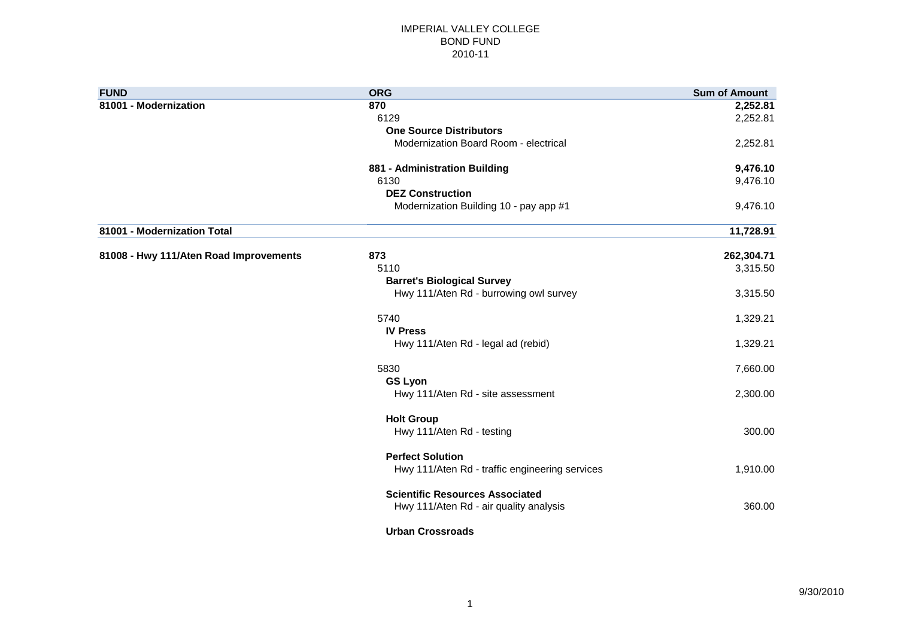#### IMPERIAL VALLEY COLLEGE BOND FUND 2010-11

| <b>FUND</b>                            | <b>ORG</b>                                     | <b>Sum of Amount</b> |
|----------------------------------------|------------------------------------------------|----------------------|
| 81001 - Modernization                  | 870                                            | 2,252.81             |
|                                        | 6129                                           | 2,252.81             |
|                                        | <b>One Source Distributors</b>                 |                      |
|                                        | Modernization Board Room - electrical          | 2,252.81             |
|                                        | 881 - Administration Building                  | 9,476.10             |
|                                        | 6130                                           | 9,476.10             |
|                                        | <b>DEZ Construction</b>                        |                      |
|                                        | Modernization Building 10 - pay app #1         | 9,476.10             |
| 81001 - Modernization Total            |                                                | 11,728.91            |
| 81008 - Hwy 111/Aten Road Improvements | 873                                            | 262,304.71           |
|                                        | 5110                                           | 3,315.50             |
|                                        | <b>Barret's Biological Survey</b>              |                      |
|                                        | Hwy 111/Aten Rd - burrowing owl survey         | 3,315.50             |
|                                        | 5740                                           | 1,329.21             |
|                                        | <b>IV Press</b>                                |                      |
|                                        | Hwy 111/Aten Rd - legal ad (rebid)             | 1,329.21             |
|                                        | 5830                                           | 7,660.00             |
|                                        | <b>GS Lyon</b>                                 |                      |
|                                        | Hwy 111/Aten Rd - site assessment              | 2,300.00             |
|                                        | <b>Holt Group</b>                              |                      |
|                                        | Hwy 111/Aten Rd - testing                      | 300.00               |
|                                        | <b>Perfect Solution</b>                        |                      |
|                                        | Hwy 111/Aten Rd - traffic engineering services | 1,910.00             |
|                                        | <b>Scientific Resources Associated</b>         |                      |
|                                        | Hwy 111/Aten Rd - air quality analysis         | 360.00               |
|                                        | <b>Urban Crossroads</b>                        |                      |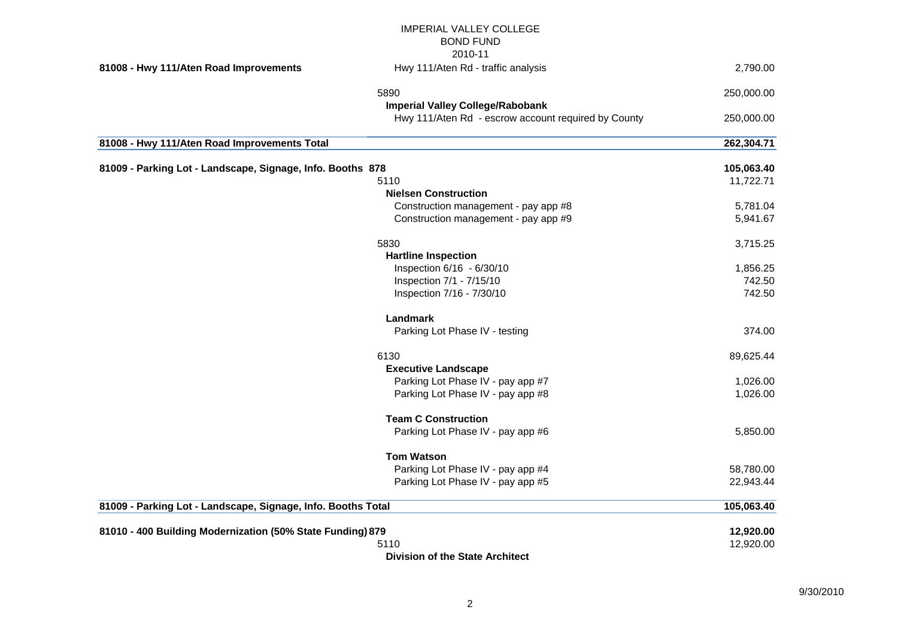|                                                              | <b>IMPERIAL VALLEY COLLEGE</b>                      |            |
|--------------------------------------------------------------|-----------------------------------------------------|------------|
|                                                              | <b>BOND FUND</b>                                    |            |
|                                                              | 2010-11                                             |            |
| 81008 - Hwy 111/Aten Road Improvements                       | Hwy 111/Aten Rd - traffic analysis                  | 2,790.00   |
|                                                              | 5890                                                | 250,000.00 |
|                                                              | <b>Imperial Valley College/Rabobank</b>             |            |
|                                                              | Hwy 111/Aten Rd - escrow account required by County | 250,000.00 |
| 81008 - Hwy 111/Aten Road Improvements Total                 |                                                     | 262,304.71 |
| 81009 - Parking Lot - Landscape, Signage, Info. Booths 878   |                                                     | 105,063.40 |
|                                                              | 5110                                                | 11,722.71  |
|                                                              | <b>Nielsen Construction</b>                         |            |
|                                                              | Construction management - pay app #8                | 5,781.04   |
|                                                              | Construction management - pay app #9                | 5,941.67   |
|                                                              | 5830                                                | 3,715.25   |
|                                                              | <b>Hartline Inspection</b>                          |            |
|                                                              | Inspection 6/16 - 6/30/10                           | 1,856.25   |
|                                                              | Inspection 7/1 - 7/15/10                            | 742.50     |
|                                                              | Inspection 7/16 - 7/30/10                           | 742.50     |
|                                                              | Landmark                                            |            |
|                                                              | Parking Lot Phase IV - testing                      | 374.00     |
|                                                              | 6130                                                | 89,625.44  |
|                                                              | <b>Executive Landscape</b>                          |            |
|                                                              | Parking Lot Phase IV - pay app #7                   | 1,026.00   |
|                                                              | Parking Lot Phase IV - pay app #8                   | 1,026.00   |
|                                                              | <b>Team C Construction</b>                          |            |
|                                                              | Parking Lot Phase IV - pay app #6                   | 5,850.00   |
|                                                              | <b>Tom Watson</b>                                   |            |
|                                                              | Parking Lot Phase IV - pay app #4                   | 58,780.00  |
|                                                              | Parking Lot Phase IV - pay app #5                   | 22,943.44  |
| 81009 - Parking Lot - Landscape, Signage, Info. Booths Total |                                                     | 105,063.40 |
| 81010 - 400 Building Modernization (50% State Funding) 879   |                                                     | 12,920.00  |
|                                                              | 5110                                                | 12,920.00  |
|                                                              | <b>Division of the State Architect</b>              |            |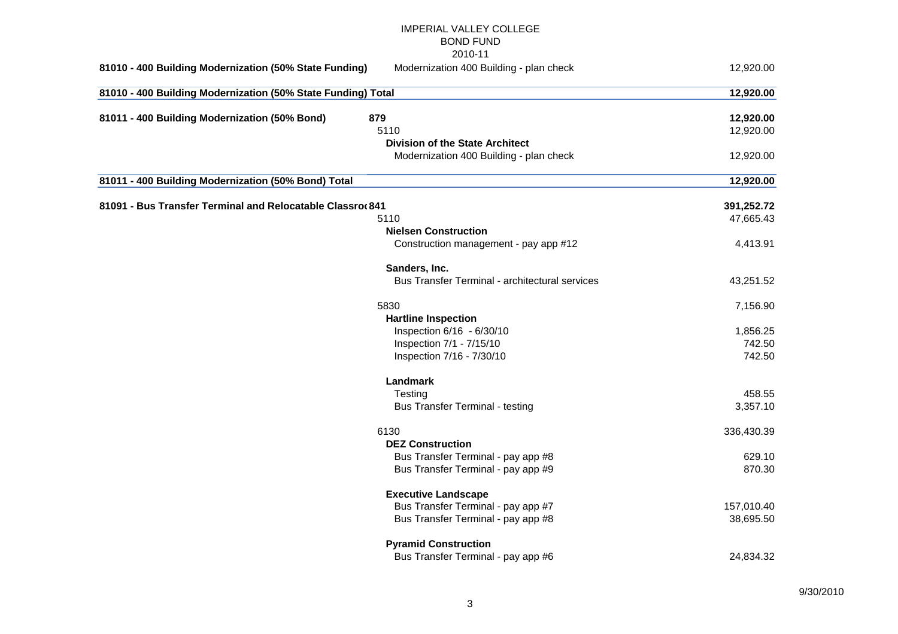# IMPERIAL VALLEY COLLEGE BOND FUND 2010-11 **81010 - 400 Building Modernization (50% State Funding)** Modernization 400 Building - plan check 12,920.00 **81010 - 400 Building Modernization (50% State Funding) Total 12,920.00 81011 - 400 Building Modernization (50% Bond) 879 12,920.00** 5110 12,920.00 **Division of the State Architect** Modernization 400 Building - plan check 12,920.00 **81011 - 400 Building Modernization (50% Bond) Total 12,920.00 81091 - Bus Transfer Terminal and Relocatable Classrooms 841 391,252.72** 5110 47,665.43 **Nielsen Construction** Construction management - pay app #12 4,413.91 **Sanders, Inc.** Bus Transfer Terminal - architectural services 43,251.52 5830 7,156.90 **Hartline Inspection** Inspection 6/16 - 6/30/10 1,856.25 **Inspection 7/1 - 7/15/10** 742.50 Inspection 7/16 - 7/30/10 70 742.50 **Landmark** Testing 458.55 Bus Transfer Terminal - testing 3,357.10 6130 336,430.39 **DEZ Construction** Bus Transfer Terminal - pay app #8 629.10 Bus Transfer Terminal - pay app #9 870.30 **Executive Landscape** Bus Transfer Terminal - pay app #7 157,010.40 Bus Transfer Terminal - pay app #8 38,695.50 **Pyramid Construction** Bus Transfer Terminal - pay app #6 24,834.32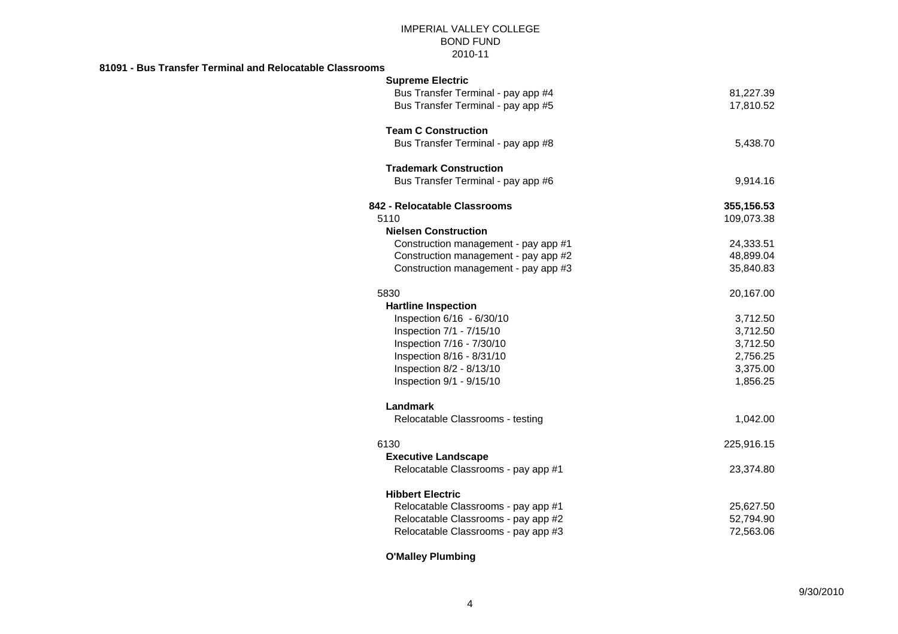## IMPERIAL VALLEY COLLEGE BOND FUND 2010-11

#### **81091 - Bus Transfer Terminal and Relocatable Classrooms**

| <b>Supreme Electric</b>              |            |
|--------------------------------------|------------|
| Bus Transfer Terminal - pay app #4   | 81,227.39  |
| Bus Transfer Terminal - pay app #5   | 17,810.52  |
| <b>Team C Construction</b>           |            |
| Bus Transfer Terminal - pay app #8   | 5,438.70   |
| <b>Trademark Construction</b>        |            |
| Bus Transfer Terminal - pay app #6   | 9,914.16   |
| 842 - Relocatable Classrooms         | 355,156.53 |
| 5110                                 | 109,073.38 |
| <b>Nielsen Construction</b>          |            |
| Construction management - pay app #1 | 24,333.51  |
| Construction management - pay app #2 | 48,899.04  |
| Construction management - pay app #3 | 35,840.83  |
| 5830                                 | 20,167.00  |
| <b>Hartline Inspection</b>           |            |
| Inspection 6/16 - 6/30/10            | 3,712.50   |
| Inspection 7/1 - 7/15/10             | 3,712.50   |
| Inspection 7/16 - 7/30/10            | 3,712.50   |
| Inspection 8/16 - 8/31/10            | 2,756.25   |
| Inspection 8/2 - 8/13/10             | 3,375.00   |
| Inspection 9/1 - 9/15/10             | 1,856.25   |
| Landmark                             |            |
| Relocatable Classrooms - testing     | 1,042.00   |
| 6130                                 | 225,916.15 |
| <b>Executive Landscape</b>           |            |
| Relocatable Classrooms - pay app #1  | 23,374.80  |
| <b>Hibbert Electric</b>              |            |
| Relocatable Classrooms - pay app #1  | 25,627.50  |
| Relocatable Classrooms - pay app #2  | 52,794.90  |
| Relocatable Classrooms - pay app #3  | 72,563.06  |

# **O'Malley Plumbing**